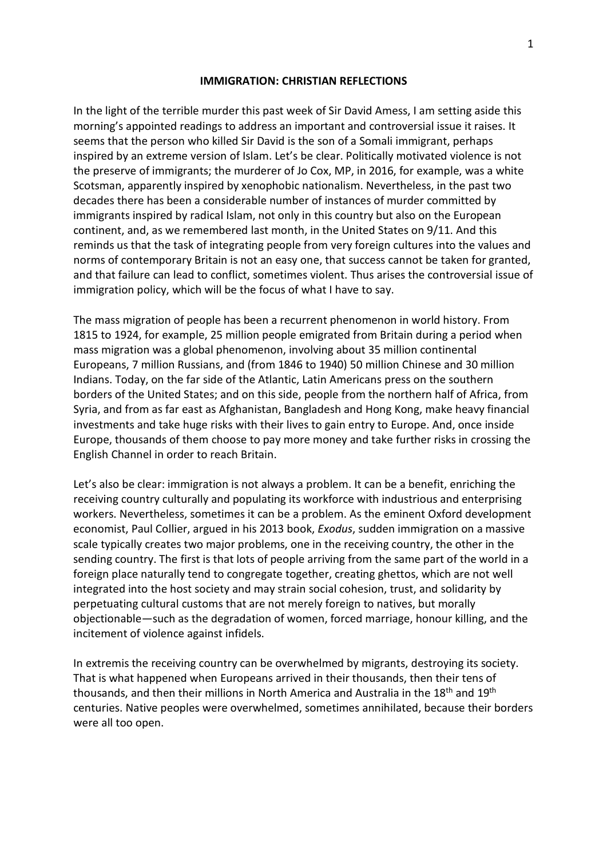## **IMMIGRATION: CHRISTIAN REFLECTIONS**

In the light of the terrible murder this past week of Sir David Amess, I am setting aside this morning's appointed readings to address an important and controversial issue it raises. It seems that the person who killed Sir David is the son of a Somali immigrant, perhaps inspired by an extreme version of Islam. Let's be clear. Politically motivated violence is not the preserve of immigrants; the murderer of Jo Cox, MP, in 2016, for example, was a white Scotsman, apparently inspired by xenophobic nationalism. Nevertheless, in the past two decades there has been a considerable number of instances of murder committed by immigrants inspired by radical Islam, not only in this country but also on the European continent, and, as we remembered last month, in the United States on 9/11. And this reminds us that the task of integrating people from very foreign cultures into the values and norms of contemporary Britain is not an easy one, that success cannot be taken for granted, and that failure can lead to conflict, sometimes violent. Thus arises the controversial issue of immigration policy, which will be the focus of what I have to say.

The mass migration of people has been a recurrent phenomenon in world history. From 1815 to 1924, for example, 25 million people emigrated from Britain during a period when mass migration was a global phenomenon, involving about 35 million continental Europeans, 7 million Russians, and (from 1846 to 1940) 50 million Chinese and 30 million Indians. Today, on the far side of the Atlantic, Latin Americans press on the southern borders of the United States; and on this side, people from the northern half of Africa, from Syria, and from as far east as Afghanistan, Bangladesh and Hong Kong, make heavy financial investments and take huge risks with their lives to gain entry to Europe. And, once inside Europe, thousands of them choose to pay more money and take further risks in crossing the English Channel in order to reach Britain.

Let's also be clear: immigration is not always a problem. It can be a benefit, enriching the receiving country culturally and populating its workforce with industrious and enterprising workers. Nevertheless, sometimes it can be a problem. As the eminent Oxford development economist, Paul Collier, argued in his 2013 book, *Exodus*, sudden immigration on a massive scale typically creates two major problems, one in the receiving country, the other in the sending country. The first is that lots of people arriving from the same part of the world in a foreign place naturally tend to congregate together, creating ghettos, which are not well integrated into the host society and may strain social cohesion, trust, and solidarity by perpetuating cultural customs that are not merely foreign to natives, but morally objectionable—such as the degradation of women, forced marriage, honour killing, and the incitement of violence against infidels.

In extremis the receiving country can be overwhelmed by migrants, destroying its society. That is what happened when Europeans arrived in their thousands, then their tens of thousands, and then their millions in North America and Australia in the 18<sup>th</sup> and 19<sup>th</sup> centuries. Native peoples were overwhelmed, sometimes annihilated, because their borders were all too open.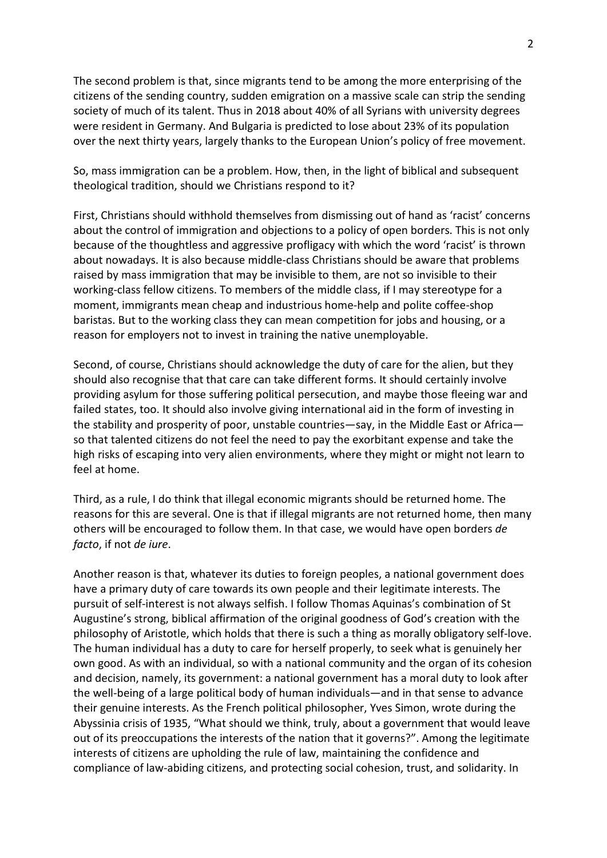The second problem is that, since migrants tend to be among the more enterprising of the citizens of the sending country, sudden emigration on a massive scale can strip the sending society of much of its talent. Thus in 2018 about 40% of all Syrians with university degrees were resident in Germany. And Bulgaria is predicted to lose about 23% of its population over the next thirty years, largely thanks to the European Union's policy of free movement.

So, mass immigration can be a problem. How, then, in the light of biblical and subsequent theological tradition, should we Christians respond to it?

First, Christians should withhold themselves from dismissing out of hand as 'racist' concerns about the control of immigration and objections to a policy of open borders. This is not only because of the thoughtless and aggressive profligacy with which the word 'racist' is thrown about nowadays. It is also because middle-class Christians should be aware that problems raised by mass immigration that may be invisible to them, are not so invisible to their working-class fellow citizens. To members of the middle class, if I may stereotype for a moment, immigrants mean cheap and industrious home-help and polite coffee-shop baristas. But to the working class they can mean competition for jobs and housing, or a reason for employers not to invest in training the native unemployable.

Second, of course, Christians should acknowledge the duty of care for the alien, but they should also recognise that that care can take different forms. It should certainly involve providing asylum for those suffering political persecution, and maybe those fleeing war and failed states, too. It should also involve giving international aid in the form of investing in the stability and prosperity of poor, unstable countries—say, in the Middle East or Africa so that talented citizens do not feel the need to pay the exorbitant expense and take the high risks of escaping into very alien environments, where they might or might not learn to feel at home.

Third, as a rule, I do think that illegal economic migrants should be returned home. The reasons for this are several. One is that if illegal migrants are not returned home, then many others will be encouraged to follow them. In that case, we would have open borders *de facto*, if not *de iure*.

Another reason is that, whatever its duties to foreign peoples, a national government does have a primary duty of care towards its own people and their legitimate interests. The pursuit of self-interest is not always selfish. I follow Thomas Aquinas's combination of St Augustine's strong, biblical affirmation of the original goodness of God's creation with the philosophy of Aristotle, which holds that there is such a thing as morally obligatory self-love. The human individual has a duty to care for herself properly, to seek what is genuinely her own good. As with an individual, so with a national community and the organ of its cohesion and decision, namely, its government: a national government has a moral duty to look after the well-being of a large political body of human individuals—and in that sense to advance their genuine interests. As the French political philosopher, Yves Simon, wrote during the Abyssinia crisis of 1935, "What should we think, truly, about a government that would leave out of its preoccupations the interests of the nation that it governs?". Among the legitimate interests of citizens are upholding the rule of law, maintaining the confidence and compliance of law-abiding citizens, and protecting social cohesion, trust, and solidarity. In